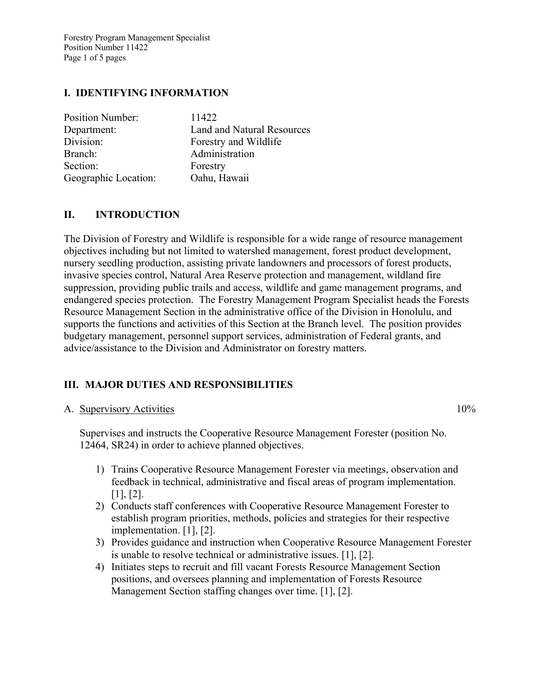Forestry Program Management Specialist Position Number 11422 Page 1 of 5 pages

# **I. IDENTIFYING INFORMATION**

| <b>Position Number:</b> | 11422                      |
|-------------------------|----------------------------|
| Department:             | Land and Natural Resources |
| Division:               | Forestry and Wildlife      |
| Branch:                 | Administration             |
| Section:                | Forestry                   |
| Geographic Location:    | Oahu, Hawaii               |

## **II. INTRODUCTION**

The Division of Forestry and Wildlife is responsible for a wide range of resource management objectives including but not limited to watershed management, forest product development, nursery seedling production, assisting private landowners and processors of forest products, invasive species control, Natural Area Reserve protection and management, wildland fire suppression, providing public trails and access, wildlife and game management programs, and endangered species protection. The Forestry Management Program Specialist heads the Forests Resource Management Section in the administrative office of the Division in Honolulu, and supports the functions and activities of this Section at the Branch level. The position provides budgetary management, personnel support services, administration of Federal grants, and advice/assistance to the Division and Administrator on forestry matters.

# **III. MAJOR DUTIES AND RESPONSIBILITIES**

#### A. Supervisory Activities 10%

Supervises and instructs the Cooperative Resource Management Forester (position No. 12464, SR24) in order to achieve planned objectives.

- 1) Trains Cooperative Resource Management Forester via meetings, observation and feedback in technical, administrative and fiscal areas of program implementation. [1], [2].
- 2) Conducts staff conferences with Cooperative Resource Management Forester to establish program priorities, methods, policies and strategies for their respective implementation. [1], [2].
- 3) Provides guidance and instruction when Cooperative Resource Management Forester is unable to resolve technical or administrative issues. [1], [2].
- 4) Initiates steps to recruit and fill vacant Forests Resource Management Section positions, and oversees planning and implementation of Forests Resource Management Section staffing changes over time. [1], [2].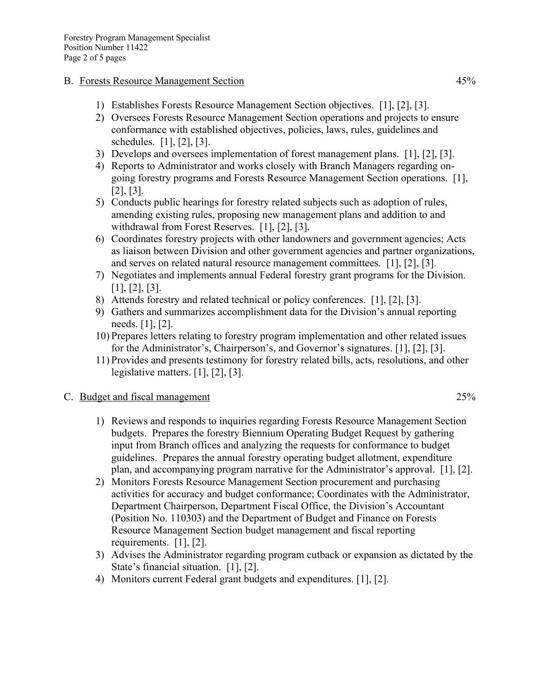#### B. Forests Resource Management Section 45%

- 1) Establishes Forests Resource Management Section objectives. [1], [2], [3].
- 2) Oversees Forests Resource Management Section operations and projects to ensure conformance with established objectives, policies, laws, rules, guidelines and schedules. [1], [2], [3].
- 3) Develops and oversees implementation of forest management plans. [1], [2], [3].
- 4) Reports to Administrator and works closely with Branch Managers regarding ongoing forestry programs and Forests Resource Management Section operations. [1], [2], [3].
- 5) Conducts public hearings for forestry related subjects such as adoption of rules, amending existing rules, proposing new management plans and addition to and withdrawal from Forest Reserves. [1], [2], [3].
- 6) Coordinates forestry projects with other landowners and government agencies; Acts as liaison between Division and other government agencies and partner organizations, and serves on related natural resource management committees. [1], [2], [3].
- 7) Negotiates and implements annual Federal forestry grant programs for the Division. [1], [2], [3].
- 8) Attends forestry and related technical or policy conferences. [1], [2], [3].
- 9) Gathers and summarizes accomplishment data for the Division's annual reporting needs. [1], [2].
- 10) Prepares letters relating to forestry program implementation and other related issues for the Administrator's, Chairperson's, and Governor's signatures. [1], [2], [3].
- 11) Provides and presents testimony for forestry related bills, acts, resolutions, and other legislative matters. [1], [2], [3].

## C. Budget and fiscal management 25%

- 1) Reviews and responds to inquiries regarding Forests Resource Management Section budgets. Prepares the forestry Biennium Operating Budget Request by gathering input from Branch offices and analyzing the requests for conformance to budget guidelines. Prepares the annual forestry operating budget allotment, expenditure plan, and accompanying program narrative for the Administrator's approval. [1], [2].
- 2) Monitors Forests Resource Management Section procurement and purchasing activities for accuracy and budget conformance; Coordinates with the Administrator, Department Chairperson, Department Fiscal Office, the Division's Accountant (Position No. 110303) and the Department of Budget and Finance on Forests Resource Management Section budget management and fiscal reporting requirements. [1], [2].
- 3) Advises the Administrator regarding program cutback or expansion as dictated by the State's financial situation. [1], [2].
- 4) Monitors current Federal grant budgets and expenditures. [1], [2].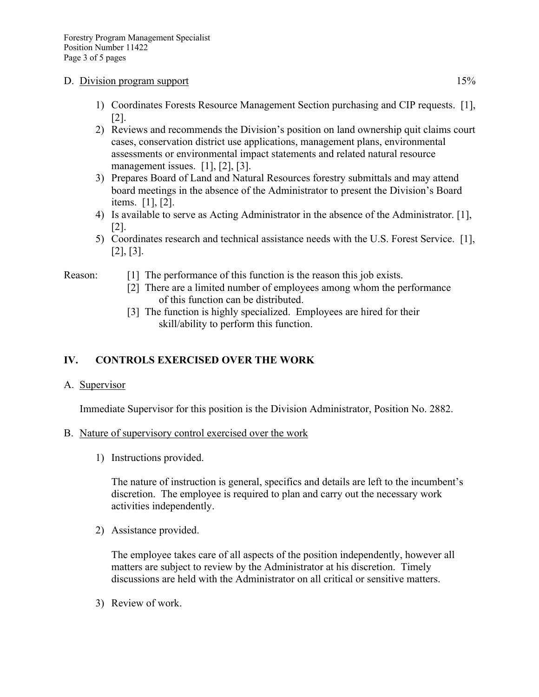#### D. Division program support 15%

- 1) Coordinates Forests Resource Management Section purchasing and CIP requests. [1], [2].
- 2) Reviews and recommends the Division's position on land ownership quit claims court cases, conservation district use applications, management plans, environmental assessments or environmental impact statements and related natural resource management issues. [1], [2], [3].
- 3) Prepares Board of Land and Natural Resources forestry submittals and may attend board meetings in the absence of the Administrator to present the Division's Board items. [1], [2].
- 4) Is available to serve as Acting Administrator in the absence of the Administrator. [1], [2].
- 5) Coordinates research and technical assistance needs with the U.S. Forest Service. [1], [2], [3].

- Reason: [1] The performance of this function is the reason this job exists.
	- [2] There are a limited number of employees among whom the performance of this function can be distributed.
	- [3] The function is highly specialized. Employees are hired for their skill/ability to perform this function.

# **IV. CONTROLS EXERCISED OVER THE WORK**

A. Supervisor

Immediate Supervisor for this position is the Division Administrator, Position No. 2882.

- B. Nature of supervisory control exercised over the work
	- 1) Instructions provided.

The nature of instruction is general, specifics and details are left to the incumbent's discretion. The employee is required to plan and carry out the necessary work activities independently.

2) Assistance provided.

The employee takes care of all aspects of the position independently, however all matters are subject to review by the Administrator at his discretion. Timely discussions are held with the Administrator on all critical or sensitive matters.

3) Review of work.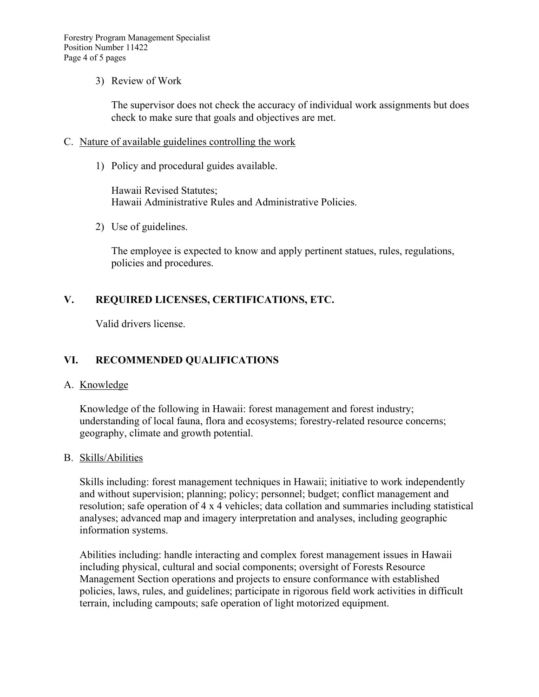### 3) Review of Work

The supervisor does not check the accuracy of individual work assignments but does check to make sure that goals and objectives are met.

### C. Nature of available guidelines controlling the work

1) Policy and procedural guides available.

Hawaii Revised Statutes; Hawaii Administrative Rules and Administrative Policies.

2) Use of guidelines.

The employee is expected to know and apply pertinent statues, rules, regulations, policies and procedures.

# **V. REQUIRED LICENSES, CERTIFICATIONS, ETC.**

Valid drivers license.

# **VI. RECOMMENDED QUALIFICATIONS**

### A. Knowledge

Knowledge of the following in Hawaii: forest management and forest industry; understanding of local fauna, flora and ecosystems; forestry-related resource concerns; geography, climate and growth potential.

### B. Skills/Abilities

Skills including: forest management techniques in Hawaii; initiative to work independently and without supervision; planning; policy; personnel; budget; conflict management and resolution; safe operation of 4 x 4 vehicles; data collation and summaries including statistical analyses; advanced map and imagery interpretation and analyses, including geographic information systems.

Abilities including: handle interacting and complex forest management issues in Hawaii including physical, cultural and social components; oversight of Forests Resource Management Section operations and projects to ensure conformance with established policies, laws, rules, and guidelines; participate in rigorous field work activities in difficult terrain, including campouts; safe operation of light motorized equipment.